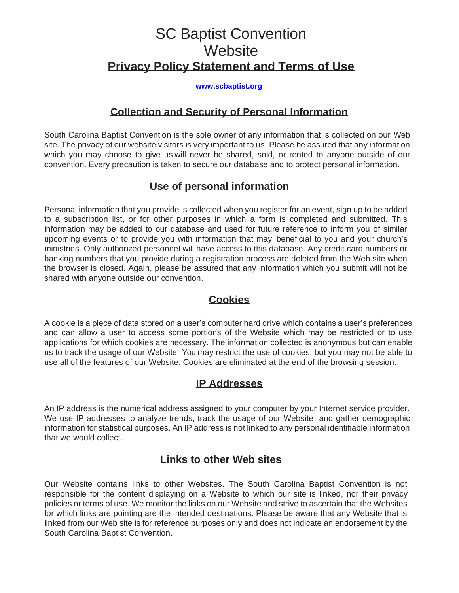# SC Baptist Convention **Website Privacy Policy Statement and Terms of Use**

#### **[www.scbaptist.org](http://www.scbaptist.org/)**

#### **Collection and Security of Personal Information**

South Carolina Baptist Convention is the sole owner of any information that is collected on our Web site. The privacy of our website visitors is very important to us. Please be assured that any information which you may choose to give us will never be shared, sold, or rented to anyone outside of our convention. Every precaution is taken to secure our database and to protect personal information.

#### **Use of personal information**

Personal information that you provide is collected when you register for an event, sign up to be added to a subscription list, or for other purposes in which a form is completed and submitted. This information may be added to our database and used for future reference to inform you of similar upcoming events or to provide you with information that may beneficial to you and your church's ministries. Only authorized personnel will have access to this database. Any credit card numbers or banking numbers that you provide during a registration process are deleted from the Web site when the browser is closed. Again, please be assured that any information which you submit will not be shared with anyone outside our convention.

### **Cookies**

A cookie is a piece of data stored on a user's computer hard drive which contains a user's preferences and can allow a user to access some portions of the Website which may be restricted or to use applications for which cookies are necessary. The information collected is anonymous but can enable us to track the usage of our Website. You may restrict the use of cookies, but you may not be able to use all of the features of our Website. Cookies are eliminated at the end of the browsing session.

#### **IP Addresses**

An IP address is the numerical address assigned to your computer by your Internet service provider. We use IP addresses to analyze trends, track the usage of our Website, and gather demographic information for statistical purposes. An IP address is not linked to any personal identifiable information that we would collect.

#### **Links to other Web sites**

Our Website contains links to other Websites. The South Carolina Baptist Convention is not responsible for the content displaying on a Website to which our site is linked, nor their privacy policies or terms of use. We monitor the links on our Website and strive to ascertain that the Websites for which links are pointing are the intended destinations. Please be aware that any Website that is linked from our Web site is for reference purposes only and does not indicate an endorsement by the South Carolina Baptist Convention.